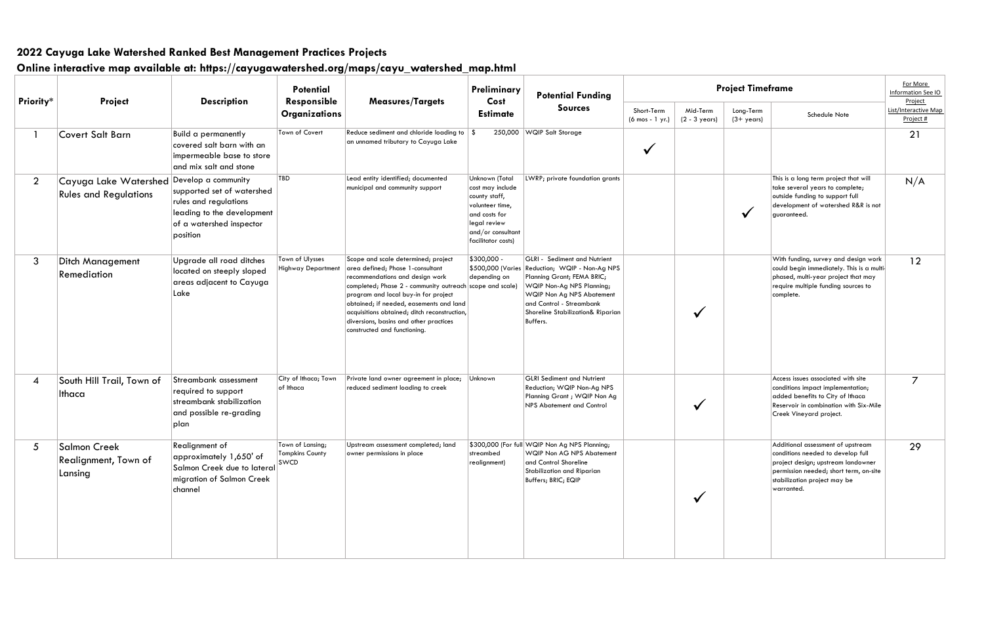| Project Timeframe                 |                                                                                                                                                                                                      | For More<br>Information See IO<br>Project |
|-----------------------------------|------------------------------------------------------------------------------------------------------------------------------------------------------------------------------------------------------|-------------------------------------------|
| Long-Term<br>$(3 + \gamma e\cos)$ | Schedule Note                                                                                                                                                                                        | List/Interactive Map<br>Project #         |
|                                   |                                                                                                                                                                                                      | 21                                        |
|                                   | This is a long term project that will<br>take several years to complete;<br>outside funding to support full<br>development of watershed R&R is not<br>guaranteed.                                    | N/A                                       |
|                                   | With funding, survey and design work<br>could begin immediately. This is a multi-<br>phased, multi-year project that may<br>require multiple funding sources to<br>complete.                         | 12                                        |
|                                   | Access issues associated with site<br>conditions impact implementation;<br>added benefits to City of Ithaca<br>Reservoir in combination with Six-Mile<br>Creek Vineyard project.                     | 7                                         |
|                                   | Additional assessment of upstream<br>conditions needed to develop full<br>project design; upstream landowner<br>permission needed; short term, on-site<br>stabilization project may be<br>warranted. | 29                                        |

|                |                                                        |                                                                                                                                                  | <b>Potential</b><br>Responsible                           |                                                                                                                                                                                                                                                                                                                                                                                     | Preliminary                                                                                                                                        | <b>Potential Funding</b>                                                                                                                                                                                                          |                                                 | Pro                                 |  |
|----------------|--------------------------------------------------------|--------------------------------------------------------------------------------------------------------------------------------------------------|-----------------------------------------------------------|-------------------------------------------------------------------------------------------------------------------------------------------------------------------------------------------------------------------------------------------------------------------------------------------------------------------------------------------------------------------------------------|----------------------------------------------------------------------------------------------------------------------------------------------------|-----------------------------------------------------------------------------------------------------------------------------------------------------------------------------------------------------------------------------------|-------------------------------------------------|-------------------------------------|--|
| Priority*      | Project                                                | <b>Description</b>                                                                                                                               | <b>Organizations</b>                                      | <b>Measures/Targets</b>                                                                                                                                                                                                                                                                                                                                                             | Cost<br><b>Estimate</b>                                                                                                                            | <b>Sources</b>                                                                                                                                                                                                                    | Short-Term<br>$(6 \text{ mos} - 1 \text{ yr.})$ | Mid-Term<br>$(2 - 3 \text{ years})$ |  |
| 1              | <b>Covert Salt Barn</b>                                | <b>Build a permanently</b><br>covered salt barn with an<br>impermeable base to store<br>and mix salt and stone                                   | Town of Covert                                            | Reduce sediment and chloride loading to $\frac{1}{2}$<br>an unnamed tributary to Cayuga Lake                                                                                                                                                                                                                                                                                        | 250,000                                                                                                                                            | WQIP Salt Storage                                                                                                                                                                                                                 |                                                 |                                     |  |
| $\overline{2}$ | Cayuga Lake Watershed<br><b>Rules and Regulations</b>  | Develop a community<br>supported set of watershed<br>rules and regulations<br>leading to the development<br>of a watershed inspector<br>position | TBD                                                       | Lead entity identified; documented<br>municipal and community support                                                                                                                                                                                                                                                                                                               | Unknown (Total<br>cost may include<br>county staff,<br>volunteer time,<br>and costs for<br>legal review<br>and/or consultant<br>facilitator costs) | LWRP; private foundation grants                                                                                                                                                                                                   |                                                 |                                     |  |
| 3              | <b>Ditch Management</b><br>Remediation                 | Upgrade all road ditches<br>located on steeply sloped<br>areas adjacent to Cayuga<br>Lake                                                        | Town of Ulysses<br>Highway Department                     | Scope and scale determined; project<br>area defined; Phase 1-consultant<br>recommendations and design work<br>completed; Phase 2 - community outreach scope and scale)<br>program and local buy-in for project<br>obtained; if needed, easements and land<br>acquisitions obtained; ditch reconstruction,<br>diversions, basins and other practices<br>constructed and functioning. | \$300,000 -<br>\$500,000 (Varies<br>depending on                                                                                                   | GLRI - Sediment and Nutrient<br>Reduction; WQIP - Non-Ag NPS<br>Planning Grant; FEMA BRIC;<br>WQIP Non-Ag NPS Planning;<br>WQIP Non Ag NPS Abatement<br>and Control - Streambank<br>Shoreline Stabilization& Riparian<br>Buffers. |                                                 |                                     |  |
| 4              | South Hill Trail, Town of<br>Ithaca                    | Streambank assessment<br>required to support<br>streambank stabilization<br>and possible re-grading<br>plan                                      | City of Ithaca; Town<br>of Ithaca                         | Private land owner agreement in place;<br>reduced sediment loading to creek                                                                                                                                                                                                                                                                                                         | Unknown                                                                                                                                            | <b>GLRI</b> Sediment and Nutrient<br>Reduction; WQIP Non-Ag NPS<br>Planning Grant ; WQIP Non Ag<br>NPS Abatement and Control                                                                                                      |                                                 |                                     |  |
| 5              | <b>Salmon Creek</b><br>Realignment, Town of<br>Lansing | Realignment of<br>approximately 1,650' of<br>Salmon Creek due to lateral<br>migration of Salmon Creek<br>channel                                 | Town of Lansing;<br><b>Tompkins County</b><br><b>SWCD</b> | Upstream assessment completed; land<br>owner permissions in place                                                                                                                                                                                                                                                                                                                   | streambed<br>realignment)                                                                                                                          | \$300,000 (For full WQIP Non Ag NPS Planning;<br>WQIP Non AG NPS Abatement<br>and Control Shoreline<br>Stabilization and Riparian<br>Buffers; BRIC; EQIP                                                                          |                                                 |                                     |  |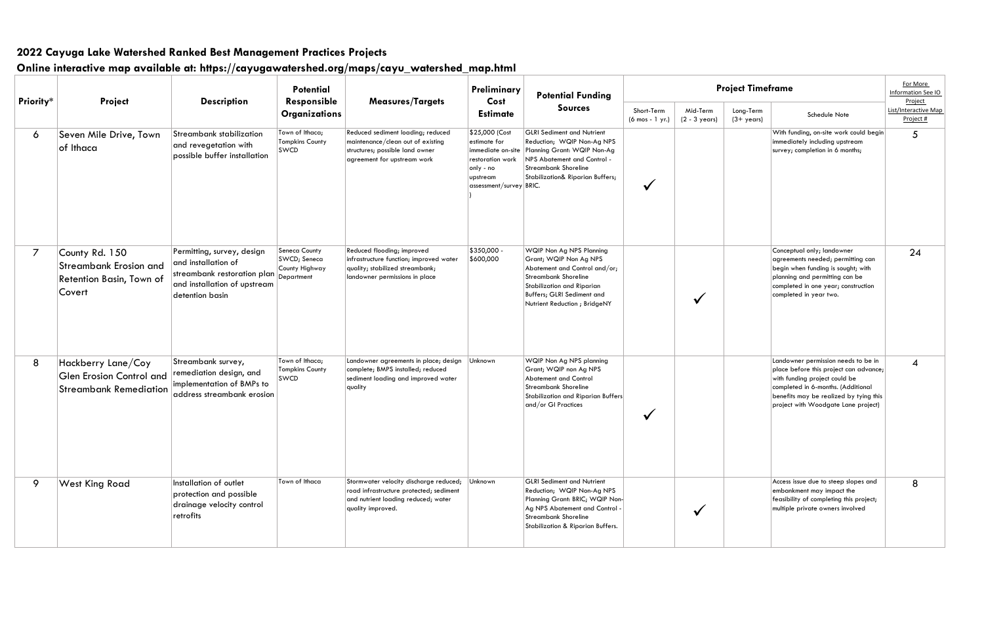| Priority*      | Project                                                                                | <b>Description</b>                                                                                                                  | <b>Potential</b><br>Responsible                               | <b>Measures/Targets</b>                                                                                                                       | Preliminary<br>Cost                                                                                                         | <b>Potential Funding</b>                                                                                                                                                                                        | Pro                           |                             |  |
|----------------|----------------------------------------------------------------------------------------|-------------------------------------------------------------------------------------------------------------------------------------|---------------------------------------------------------------|-----------------------------------------------------------------------------------------------------------------------------------------------|-----------------------------------------------------------------------------------------------------------------------------|-----------------------------------------------------------------------------------------------------------------------------------------------------------------------------------------------------------------|-------------------------------|-----------------------------|--|
|                |                                                                                        |                                                                                                                                     | <b>Organizations</b>                                          |                                                                                                                                               | <b>Estimate</b>                                                                                                             | <b>Sources</b>                                                                                                                                                                                                  | Short-Term<br>(6 mos - 1 yr.) | Mid-Term<br>$(2 - 3$ years) |  |
| 6              | Seven Mile Drive, Town<br>of Ithaca                                                    | Streambank stabilization<br>and revegetation with<br>possible buffer installation                                                   | Town of Ithaca;<br><b>Tompkins County</b><br><b>SWCD</b>      | Reduced sediment loading; reduced<br>maintenance/clean out of existing<br>structures; possible land owner<br>agreement for upstream work      | \$25,000 (Cost<br>estimate for<br>immediate on-site<br>restoration work<br>only - no<br>upstream<br>assessment/survey BRIC. | <b>GLRI Sediment and Nutrient</b><br>Reduction; WQIP Non-Ag NPS<br>Planning Grant: WQIP Non-Ag<br>NPS Abatement and Control -<br>Streambank Shoreline<br>Stabilization& Riparian Buffers;                       |                               |                             |  |
| $\overline{7}$ | County Rd. 150<br><b>Streambank Erosion and</b><br>Retention Basin, Town of<br>Covert  | Permitting, survey, design<br>and installation of<br>streambank restoration plan<br>and installation of upstream<br>detention basin | Seneca County<br>SWCD; Seneca<br>County Highway<br>Department | Reduced flooding; improved<br>infrastructure function; improved water<br>quality; stabilized streambank;<br>landowner permissions in place    | \$350,000 -<br>\$600,000                                                                                                    | WQIP Non Ag NPS Planning<br>Grant; WQIP Non Ag NPS<br>Abatement and Control and/or;<br><b>Streambank Shoreline</b><br>Stabilization and Riparian<br>Buffers; GLRI Sediment and<br>Nutrient Reduction ; BridgeNY |                               |                             |  |
| 8              | Hackberry Lane/Coy<br><b>Glen Erosion Control and</b><br><b>Streambank Remediation</b> | Streambank survey,<br>remediation design, and<br>implementation of BMPs to<br>address streambank erosion                            | Town of Ithaca;<br><b>Tompkins County</b><br><b>SWCD</b>      | Landowner agreements in place; design<br>complete; BMPS installed; reduced<br>sediment loading and improved water<br>quality                  | Unknown                                                                                                                     | WQIP Non Ag NPS planning<br>Grant; WQIP non Ag NPS<br><b>Abatement and Control</b><br>Streambank Shoreline<br>Stabilization and Riparian Buffers<br>$ $ and/or GI Practices                                     |                               |                             |  |
| 9              | <b>West King Road</b>                                                                  | Installation of outlet<br>protection and possible<br>drainage velocity control<br>retrofits                                         | Town of Ithaca                                                | Stormwater velocity discharge reduced;<br>road infrastructure protected; sediment<br>and nutrient loading reduced; water<br>quality improved. | Unknown                                                                                                                     | <b>GLRI</b> Sediment and Nutrient<br>Reduction; WQIP Non-Ag NPS<br>Planning Grant: BRIC; WQIP Non-<br>Ag NPS Abatement and Control -<br>Streambank Shoreline<br>Stabilization & Riparian Buffers.               |                               |                             |  |

| Project Timeframe                 |                                                                                                                                                                                                                                       | For More<br>Information See IO<br>Project |
|-----------------------------------|---------------------------------------------------------------------------------------------------------------------------------------------------------------------------------------------------------------------------------------|-------------------------------------------|
| Long-Term<br>$(3 + \gamma e\cos)$ | Schedule Note                                                                                                                                                                                                                         | <b>List/Interactive Map</b><br>Project #  |
|                                   | With funding, on-site work could begin<br>immediately including upstream<br>survey; completion in 6 months;                                                                                                                           | 5                                         |
|                                   | Conceptual only; landowner<br>agreements needed; permitting can<br>begin when funding is sought; with<br>planning and permitting can be<br>completed in one year; construction<br>completed in year two.                              | 24                                        |
|                                   | Landowner permission needs to be in<br>place before this project can advance;<br>with funding project could be<br>completed in 6-months. (Additional<br>benefits may be realized by tying this<br>project with Woodgate Lane project) | 4                                         |
|                                   | Access issue due to steep slopes and<br>embankment may impact the<br>feasibility of completing this project;<br>multiple private owners involved                                                                                      | 8                                         |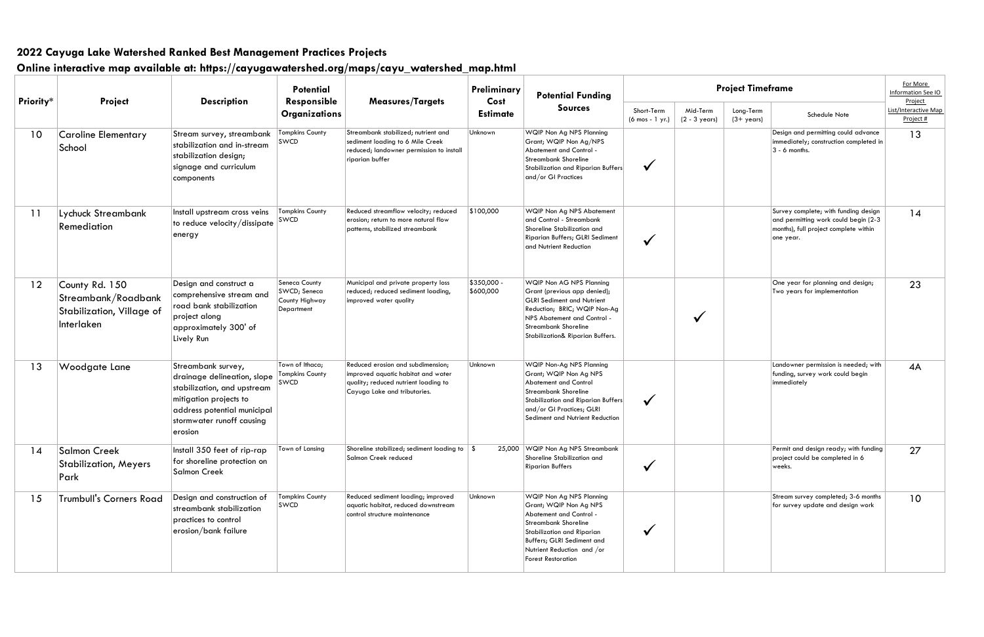|                 |                                                                                  | <b>Description</b><br>Responsible                                                                                                                                                 | <b>Potential</b>                                              |                                                                                                                                                 | Preliminary              | <b>Potential Funding</b>                                                                                                                                                                                                      | <b>Project Timeframe</b>      |                                     |                                   |                                                                                                                                     | For More<br>Information See IO               |
|-----------------|----------------------------------------------------------------------------------|-----------------------------------------------------------------------------------------------------------------------------------------------------------------------------------|---------------------------------------------------------------|-------------------------------------------------------------------------------------------------------------------------------------------------|--------------------------|-------------------------------------------------------------------------------------------------------------------------------------------------------------------------------------------------------------------------------|-------------------------------|-------------------------------------|-----------------------------------|-------------------------------------------------------------------------------------------------------------------------------------|----------------------------------------------|
| Priority*       | Project                                                                          |                                                                                                                                                                                   | <b>Organizations</b>                                          | <b>Measures/Targets</b>                                                                                                                         | Cost<br><b>Estimate</b>  | <b>Sources</b>                                                                                                                                                                                                                | Short-Term<br>(6 mos - 1 yr.) | Mid-Term<br>$(2 - 3 \text{ years})$ | Long-Term<br>$(3 + \gamma e\cos)$ | Schedule Note                                                                                                                       | Project<br>List/Interactive Map<br>Project # |
| 10 <sup>°</sup> | <b>Caroline Elementary</b><br>School                                             | Stream survey, streambank<br>stabilization and in-stream<br>stabilization design;<br>signage and curriculum<br>components                                                         | Tompkins County<br><b>SWCD</b>                                | Streambank stabilized; nutrient and<br>sediment loading to 6 Mile Creek<br>reduced; landowner permission to install<br>riparian buffer          | Unknown                  | WQIP Non Ag NPS Planning<br>Grant; WQIP Non Ag/NPS<br>Abatement and Control -<br><b>Streambank Shoreline</b><br>Stabilization and Riparian Buffers<br>and/or GI Practices                                                     | $\checkmark$                  |                                     |                                   | Design and permitting could advance<br>immediately; construction completed in<br>$ 3 - 6$ months.                                   | 13                                           |
| 11              | Lychuck Streambank<br>Remediation                                                | Install upstream cross veins<br>to reduce velocity/dissipate<br>energy                                                                                                            | <b>Tompkins County</b><br>SWCD                                | Reduced streamflow velocity; reduced<br>erosion; return to more natural flow<br>patterns, stabilized streambank                                 | \$100,000                | WQIP Non Ag NPS Abatement<br>and Control - Streambank<br>Shoreline Stabilization and<br>Riparian Buffers; GLRI Sediment<br>and Nutrient Reduction                                                                             | $\checkmark$                  |                                     |                                   | Survey complete; with funding design<br>and permitting work could begin (2-3)<br>months), full project complete within<br>one year. | 14                                           |
| 12              | County Rd. 150<br>Streambank/Roadbank<br>Stabilization, Village of<br>Interlaken | Design and construct a<br>comprehensive stream and<br>road bank stabilization<br>project along<br>approximately 300' of<br>Lively Run                                             | Seneca County<br>SWCD; Seneca<br>County Highway<br>Department | Municipal and private property loss<br>reduced; reduced sediment loading,<br>improved water quality                                             | \$350,000 -<br>\$600,000 | WQIP Non AG NPS Planning<br>Grant (previous app denied);<br><b>GLRI Sediment and Nutrient</b><br>Reduction; BRIC; WQIP Non-Ag<br>NPS Abatement and Control<br><b>Streambank Shoreline</b><br>Stabilization& Riparian Buffers. |                               | M                                   |                                   | One year for planning and design;<br>Two years for implementation                                                                   | 23                                           |
| 13              | Woodgate Lane                                                                    | Streambank survey,<br>drainage delineation, slope<br>stabilization, and upstream<br>mitigation projects to<br>address potential municipal<br>stormwater runoff causing<br>erosion | Town of Ithaca;<br><b>Tompkins County</b><br>SWCD             | Reduced erosion and subdimension;<br>improved aquatic habitat and water<br>quality; reduced nutrient loading to<br>Cayuga Lake and tributaries. | Unknown                  | WQIP Non-Ag NPS Planning<br>Grant; WQIP Non Ag NPS<br>Abatement and Control<br><b>Streambank Shoreline</b><br>Stabilization and Riparian Buffers<br>and/or GI Practices; GLRI<br>Sediment and Nutrient Reduction              | $\checkmark$                  |                                     |                                   | Landowner permission is needed; with<br>funding, survey work could begin<br>immediately                                             | 4A                                           |
| 14              | <b>Salmon Creek</b><br><b>Stabilization, Meyers</b><br>Park                      | Install 350 feet of rip-rap<br>for shoreline protection on<br><b>Salmon Creek</b>                                                                                                 | Town of Lansing                                               | Shoreline stabilized; sediment loading to $\frac{1}{2}$<br>Salmon Creek reduced                                                                 |                          | 25,000 WQIP Non Ag NPS Streambank<br>Shoreline Stabilization and<br><b>Riparian Buffers</b>                                                                                                                                   | $\checkmark$                  |                                     |                                   | Permit and design ready; with funding<br>project could be completed in 6<br>weeks.                                                  | 27                                           |
| 15              | <b>Trumbull's Corners Road</b>                                                   | Design and construction of<br>streambank stabilization<br>practices to control<br>erosion/bank failure                                                                            | <b>Tompkins County</b><br><b>SWCD</b>                         | Reduced sediment loading; improved<br>aquatic habitat, reduced downstream<br>control structure maintenance                                      | Unknown                  | WQIP Non Ag NPS Planning<br>Grant; WQIP Non Ag NPS<br>Abatement and Control -<br><b>Streambank Shoreline</b><br>Stabilization and Riparian<br>Buffers; GLRI Sediment and<br>Nutrient Reduction and /or<br>Forest Restoration  | $\checkmark$                  |                                     |                                   | Stream survey completed; 3-6 months<br>for survey update and design work                                                            | 10                                           |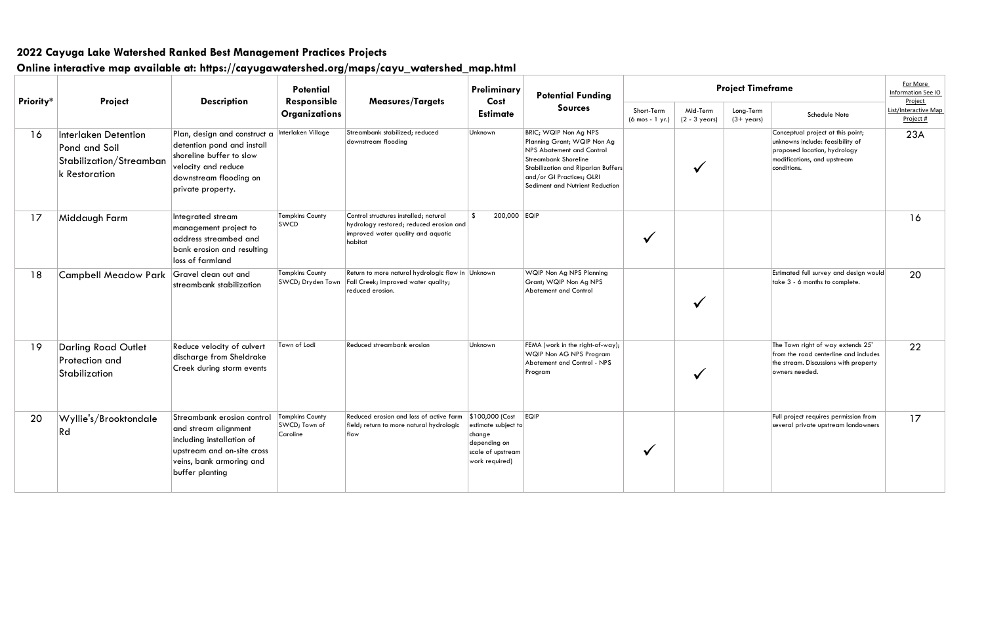|           |                                                                                          |                                                                                                                                                              | <b>Potential</b>                                    |                                                                                                                                   | Preliminary                                                                                             | <b>Potential Funding</b>                                                                                                                                                                                               | Pro                                             |                             |  |
|-----------|------------------------------------------------------------------------------------------|--------------------------------------------------------------------------------------------------------------------------------------------------------------|-----------------------------------------------------|-----------------------------------------------------------------------------------------------------------------------------------|---------------------------------------------------------------------------------------------------------|------------------------------------------------------------------------------------------------------------------------------------------------------------------------------------------------------------------------|-------------------------------------------------|-----------------------------|--|
| Priority* | Project                                                                                  | <b>Description</b>                                                                                                                                           | Responsible<br><b>Organizations</b>                 | <b>Measures/Targets</b>                                                                                                           | Cost<br><b>Estimate</b><br>Unknown                                                                      | <b>Sources</b>                                                                                                                                                                                                         | Short-Term<br>$(6 \text{ mos} - 1 \text{ yr.})$ | Mid-Term<br>$(2 - 3$ years) |  |
| 16        | <b>Interlaken Detention</b><br>Pond and Soil<br>Stabilization/Streamban<br>k Restoration | Plan, design and construct a<br>detention pond and install<br>shoreline buffer to slow<br>velocity and reduce<br>downstream flooding on<br>private property. | Interlaken Village                                  | Streambank stabilized; reduced<br>downstream flooding                                                                             |                                                                                                         | BRIC; WQIP Non Ag NPS<br>Planning Grant; WQIP Non Ag<br>NPS Abatement and Control<br><b>Streambank Shoreline</b><br>Stabilization and Riparian Buffers<br>and/or GI Practices; GLRI<br>Sediment and Nutrient Reduction |                                                 |                             |  |
| 17        | Middaugh Farm                                                                            | Integrated stream<br>management project to<br>address streambed and<br>bank erosion and resulting<br>loss of farmland                                        | <b>Tompkins County</b><br>SWCD                      | Control structures installed; natural<br>hydrology restored; reduced erosion and<br>improved water quality and aquatic<br>habitat | 200,000 EQIP<br>-\$                                                                                     |                                                                                                                                                                                                                        |                                                 |                             |  |
| 18        | <b>Campbell Meadow Park</b>                                                              | Gravel clean out and<br>streambank stabilization                                                                                                             | <b>Tompkins County</b><br>SWCD; Dryden Town         | Return to more natural hydrologic flow in Unknown<br>Fall Creek; improved water quality;<br>reduced erosion.                      |                                                                                                         | WQIP Non Ag NPS Planning<br>Grant; WQIP Non Ag NPS<br>Abatement and Control                                                                                                                                            |                                                 |                             |  |
| 19        | <b>Darling Road Outlet</b><br>Protection and<br>Stabilization                            | Reduce velocity of culvert<br>discharge from Sheldrake<br>Creek during storm events                                                                          | Town of Lodi                                        | Reduced streambank erosion                                                                                                        | Unknown                                                                                                 | FEMA (work in the right-of-way);<br>WQIP Non AG NPS Program<br>Abatement and Control - NPS<br>Program                                                                                                                  |                                                 |                             |  |
| 20        | Wyllie's/Brooktondale<br>Rd                                                              | Streambank erosion control<br>and stream alignment<br>including installation of<br>upstream and on-site cross<br>veins, bank armoring and<br>buffer planting | <b>Tompkins County</b><br>SWCD; Town of<br>Caroline | Reduced erosion and loss of active farm<br>field; return to more natural hydrologic<br>flow                                       | \$100,000 (Cost<br>estimate subject to<br>change<br>depending on<br>scale of upstream<br>work required) | <b>EQIP</b>                                                                                                                                                                                                            |                                                 |                             |  |

| <b>Project Timeframe</b>          | For More<br>Information See IO<br>Project                                                                                                           |                                   |  |  |
|-----------------------------------|-----------------------------------------------------------------------------------------------------------------------------------------------------|-----------------------------------|--|--|
| Long-Term<br>$(3 + \gamma e\cos)$ | Schedule Note                                                                                                                                       | List/Interactive Map<br>Project # |  |  |
|                                   | Conceptual project at this point;<br>unknowns include: feasibility of<br>proposed location, hydrology<br>modifications, and upstream<br>conditions. | 23A                               |  |  |
|                                   |                                                                                                                                                     | 16                                |  |  |
|                                   | Estimated full survey and design would<br>take 3 - 6 months to complete.                                                                            | 20                                |  |  |
|                                   | The Town right of way extends 25'<br>from the road centerline and includes<br>the stream. Discussions with property<br>owners needed.               | 22                                |  |  |
|                                   | Full project requires permission from<br>several private upstream landowners                                                                        | 17                                |  |  |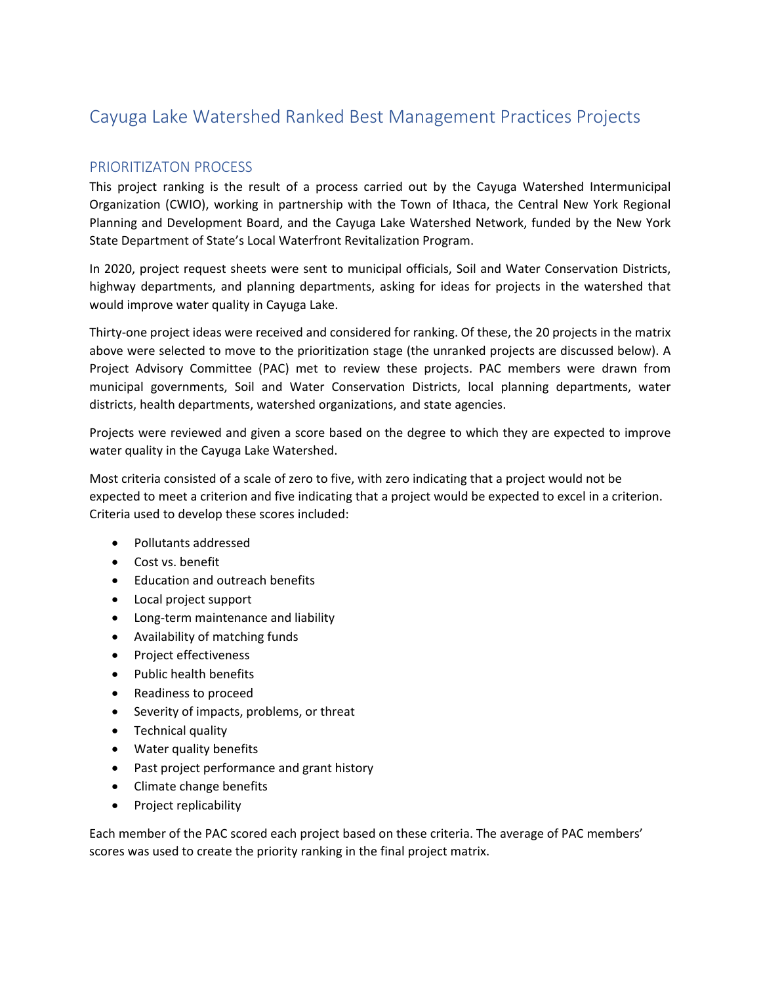#### PRIORITIZATON PROCESS

This project ranking is the result of a process carried out by the Cayuga Watershed Intermunicipal Organization (CWIO), working in partnership with the Town of Ithaca, the Central New York Regional Planning and Development Board, and the Cayuga Lake Watershed Network, funded by the New York State Department of State's Local Waterfront Revitalization Program.

In 2020, project request sheets were sent to municipal officials, Soil and Water Conservation Districts, highway departments, and planning departments, asking for ideas for projects in the watershed that would improve water quality in Cayuga Lake.

Thirty-one project ideas were received and considered for ranking. Of these, the 20 projects in the matrix above were selected to move to the prioritization stage (the unranked projects are discussed below). A Project Advisory Committee (PAC) met to review these projects. PAC members were drawn from municipal governments, Soil and Water Conservation Districts, local planning departments, water districts, health departments, watershed organizations, and state agencies.

Projects were reviewed and given a score based on the degree to which they are expected to improve water quality in the Cayuga Lake Watershed.

Most criteria consisted of a scale of zero to five, with zero indicating that a project would not be expected to meet a criterion and five indicating that a project would be expected to excel in a criterion. Criteria used to develop these scores included:

- Pollutants addressed
- Cost vs. benefit
- Education and outreach benefits
- Local project support
- Long-term maintenance and liability
- Availability of matching funds
- Project effectiveness
- Public health benefits
- Readiness to proceed
- Severity of impacts, problems, or threat
- Technical quality
- Water quality benefits
- Past project performance and grant history
- Climate change benefits
- Project replicability

Each member of the PAC scored each project based on these criteria. The average of PAC members' scores was used to create the priority ranking in the final project matrix.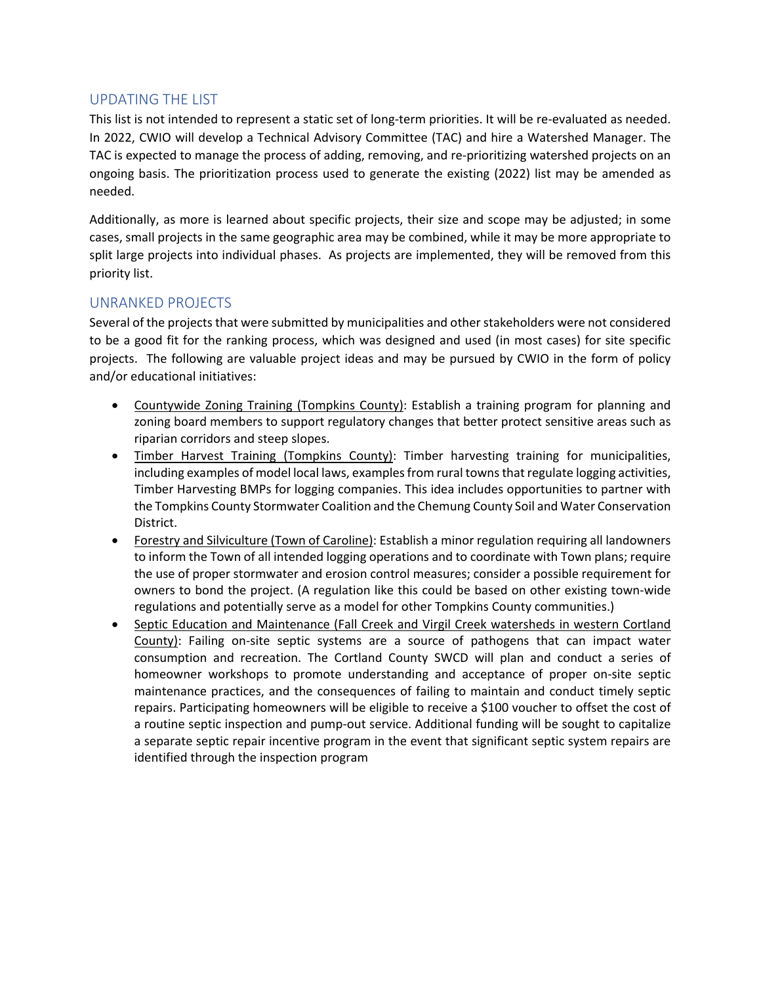#### UPDATING THE LIST

This list is not intended to represent a static set of long-term priorities. It will be re-evaluated as needed. In 2022, CWIO will develop a Technical Advisory Committee (TAC) and hire a Watershed Manager. The TAC is expected to manage the process of adding, removing, and re-prioritizing watershed projects on an ongoing basis. The prioritization process used to generate the existing (2022) list may be amended as needed.

Additionally, as more is learned about specific projects, their size and scope may be adjusted; in some cases, small projects in the same geographic area may be combined, while it may be more appropriate to split large projects into individual phases. As projects are implemented, they will be removed from this priority list.

#### UNRANKED PROJECTS

Several of the projects that were submitted by municipalities and other stakeholders were not considered to be a good fit for the ranking process, which was designed and used (in most cases) for site specific projects. The following are valuable project ideas and may be pursued by CWIO in the form of policy and/or educational initiatives:

- Countywide Zoning Training (Tompkins County): Establish a training program for planning and zoning board members to support regulatory changes that better protect sensitive areas such as riparian corridors and steep slopes.
- Timber Harvest Training (Tompkins County): Timber harvesting training for municipalities, including examples of model local laws, examples from rural towns that regulate logging activities, Timber Harvesting BMPs for logging companies. This idea includes opportunities to partner with the Tompkins County Stormwater Coalition and the Chemung County Soil and Water Conservation District.
- Forestry and Silviculture (Town of Caroline): Establish a minor regulation requiring all landowners to inform the Town of all intended logging operations and to coordinate with Town plans; require the use of proper stormwater and erosion control measures; consider a possible requirement for owners to bond the project. (A regulation like this could be based on other existing town-wide regulations and potentially serve as a model for other Tompkins County communities.)
- Septic Education and Maintenance (Fall Creek and Virgil Creek watersheds in western Cortland County): Failing on-site septic systems are a source of pathogens that can impact water consumption and recreation. The Cortland County SWCD will plan and conduct a series of homeowner workshops to promote understanding and acceptance of proper on-site septic maintenance practices, and the consequences of failing to maintain and conduct timely septic repairs. Participating homeowners will be eligible to receive a \$100 voucher to offset the cost of a routine septic inspection and pump-out service. Additional funding will be sought to capitalize a separate septic repair incentive program in the event that significant septic system repairs are identified through the inspection program